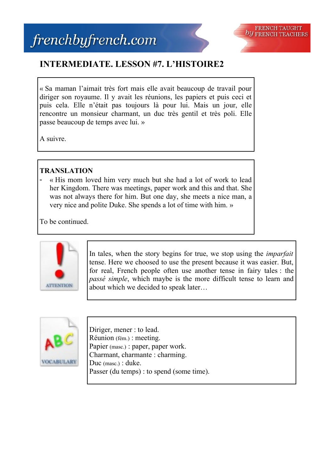



## **INTERMEDIATE. LESSON #7. L'HISTOIRE2**

« Sa maman l'aimait très fort mais elle avait beaucoup de travail pour diriger son royaume. Il y avait les réunions, les papiers et puis ceci et puis cela. Elle n'était pas toujours là pour lui. Mais un jour, elle rencontre un monsieur charmant, un duc très gentil et très poli. Elle passe beaucoup de temps avec lui. »

A suivre.

## **TRANSLATION**

- « His mom loved him very much but she had a lot of work to lead her Kingdom. There was meetings, paper work and this and that. She was not always there for him. But one day, she meets a nice man, a very nice and polite Duke. She spends a lot of time with him. »

To be continued.



In tales, when the story begins for true, we stop using the *imparfait* tense. Here we choosed to use the present because it was easier. But, for real, French people often use another tense in fairy tales : the *passé simple*, which maybe is the more difficult tense to learn and about which we decided to speak later…



Diriger, mener : to lead. Réunion (fém.) : meeting. Papier (masc.) : paper, paper work. Charmant, charmante : charming. Duc (masc.) : duke. Passer (du temps) : to spend (some time).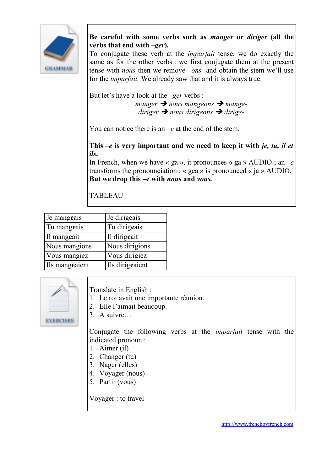

**Be careful with some verbs such as** *manger* **or** *diriger* **(all the verbs that end with –***ger***).**

To conjugate these verb at the *imparfait* tense, we do exactly the same as for the other verbs : we first conjugate them at the present tense with *nous* then we remove *–ons* and obtain the stem we'll use for the *imparfait.* We already saw that and it is always true.

But let's have a look at the *–ger* verbs :

*manger* **→** *nous mangeons* → *mangediriger nous dirigeons dirige-*

You can notice there is an –*e* at the end of the stem.

**This –***e* **is very important and we need to keep it with** *je, tu, il et ils***.** 

In French, when we have « ga », it pronounces « ga » AUDIO ; an  $-e$ transforms the pronounciation : « gea » is pronounced « ja » AUDIO. **But we drop this –e with** *nous* **and** *vous.*

**TABLEAU** 

| Je mangeais    | Je dirigeais    |
|----------------|-----------------|
| Tu mangeais    | Tu dirigeais    |
| Il mangeait    | Il dirigeait    |
| Nous mangions  | Nous dirigions  |
| Vous mangiez   | Vous dirigiez   |
| Ils mangeaient | Ils dirigeaient |



Translate in English :

- 1. Le roi avait une importante réunion.
- 2. Elle l'aimait beaucoup.

3. A suivre…

Conjugate the following verbs at the *imparfait* tense with the indicated pronoun :

- 1. Aimer (il)
- 2. Changer (tu)
- 3. Nager (elles)
- 4. Voyager (nous)
- 5. Partir (vous)

Voyager : to travel